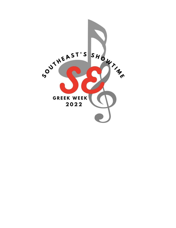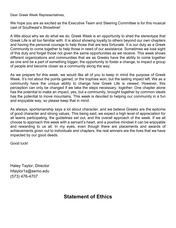Dear Greek Week Representatives,

 We hope you are as excited as the Executive Team and Steering Committee is for this musical cast of Southeast's Showtime!

 A little about why we do what we do. Greek Week is an opportunity to shed the stereotype that Greek Life is all too familiar with. It is about showing loyalty to others beyond our own chapters and having the personal courage to help those that are less fortunate. It is our duty as a Greek Community to come together to help those in need of our assistance. Sometimes we lose sight of this duty and forget those not given the same opportunities as we receive. This week shows as one and be a part of something bigger; the opportunity to foster a change, to impact a group different organizations and communities that we as Greeks have the ability to come together of people and become closer as a community along the way.

 As we prepare for this week, we would like all of you to keep in mind the purpose of Greek Week. It's not about the points gained, or the trophies won, but the lasting impact left. We as a community have the unique ability to change how Greek Life is viewed. However, this has the potential to make an impact, yes, but a community, brought together by common ideals perception can only be changed if we take the steps necessary, *together*. One chapter alone has the potential to move mountains. This week is devoted to helping our community in a fun and enjoyable way, so please keep that in mind.

 As always, sportsmanship says a lot about character, and we believe Greeks are the epitome of good character and strong values. This being said, we expect a high level of appreciation for all teams participating, the guidelines set out, and the overall approach of the week. If we all choose to approach this week with a servant's heart, and a positive mindset it can be enjoyable achievements given out to individuals and chapters, the real winners are the lives that we have and rewarding to us all. In my eyes, even though there are placements and awards of impacted by our good deeds.

Good luck!

 Haley Taylor, Director [hltaylor1s@semo.edu](mailto:hltaylor1s@semo.edu) (573) 476-4707

### **Statement of Ethics**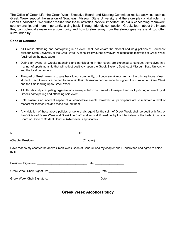The Office of Greek Life, the Greek Week Executive Board, and Steering Committee realize activities such as Greek Week support the mission of Southeast Missouri State University and therefore play a vital role in a Greek's education. We further realize that these activities provide important life skills concerning teamwork, sportsmanship, and more importantly, giving back. Through friendly competition, Greeks learn about the impact they can potentially make on a community and how to steer away from the stereotypes we are all too often surrounded by.

#### **Code of Conduct**

- ● All Greeks attending and participating in an event shall not violate the alcohol and drug policies of Southeast Missouri State University or the Greek Week Alcohol Policy during any event related to the festivities of Greek Week (outlined on the next page).
- ● During an event, all Greeks attending and participating in that event are expected to conduct themselves in a manner of sportsmanship that will reflect positively upon the Greek System, Southeast Missouri State University, and the local community.
- ● The goal of Greek Week is to give back to our community, but coursework must remain the primary focus of each student. Each Greek is expected to maintain their classroom performance throughout the duration of Greek Week and the time leading up to Greek Week.
- ● All officials and participating organizations are expected to be treated with respect and civility during an event by all Greeks participating and attending said event.
- ● Enthusiasm is an inherent aspect of all competitive events; however, all participants are to maintain a level of respect for themselves and those around them.
- ● Any violation of these above policies **or** general disregard for the spirit of Greek Week shall be dealt with first by the Officials of Greek Week and Greek Life Staff, and second, if need be, by the Interfraternity, Panhellenic Judicial Board or Office of Student Conduct (whichever is applicable).

| (Chapter President)         | (Chapter)                                                                                                       |  |
|-----------------------------|-----------------------------------------------------------------------------------------------------------------|--|
| by it.                      | Have read to my chapter the above Greek Week Code of Conduct and my chapter and I understand and agree to abide |  |
|                             |                                                                                                                 |  |
|                             |                                                                                                                 |  |
| Greek Week Chair Signature: | Date:                                                                                                           |  |

 **Greek Week Alcohol Policy**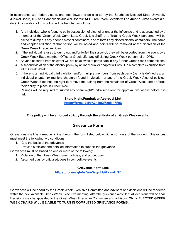In accordance with federal, state, and local laws and policies set by the Southeast Missouri State University Judicial Board, IFC and Panhellenic Judicial Boards: **ALL** Greek Week events will be *alcohol -free* events (i.e. dry). Any violation of this policy will be handled as follows:

- 1. Any individual who is found to be in possession of alcohol or under the influence and is approached by a member of the Greek Week Committee, Greek Life Staff, or officiating Greek Week personnel will be asked to dump out any opened alcohol containers, and to forfeit any closed alcohol containers. The name and chapter affiliation of that person will be noted and points will be removed at the discretion of the Greek Week Executive Board.
- 2. If the individual refuses to dump out and/or forfeit their alcohol, they will be escorted from the event by a Greek Week Exec member, Office of Greek Life, any officiating Greek Week personnel or DPS.
- 3. Anyone escorted from an event will not be allowed to participate in *any* further Greek Week competitions.
- 4. A second violation of the alcohol policy by an individual or chapter will result in a complete expulsion from all of Greek Week.
- 5. If there is an individual third violation and/or multiple members from each party (party is defined as: an individual chapter **or** multiple chapters) found in violation of any of the Greek Week Alcohol policies, Greek Week Exec has the right to remove the pairing from the remainder of Greek Week and or forfeit their ability to place in Greek Week.
- 6. Pairings will be required to submit any share night/fundraiser event for approval two weeks before it is held.

#### **Share Night/Fundraiser Approval Link**

**<https://forms.gle/vA3k4m2Mzqjan7Fp8>** 

#### **This policy will be enforced strictly through the entirety of all Greek Week events.**

#### **Grievance Form**

 Grievances shall be turned in online through the form listed below within 48 hours of the incident. Grievances must meet the following two conditions:

1. Cite the basis of the grievance

2. Provide sufficient and detailed information to support the grievance

Grievances must be based on one or more of the following:

- 1. Violation of the Greek Week rules, policies, and procedures
- 2. Assumed bias by officials/judges in competitive events

#### **Grievance Form Link**

**<https://forms.gle/n7am3sqcEGKYwsEN7>**

 Grievances will be heard by the Greek Week Executive Committee and advisors and decisions will be rendered within the next available Greek Week Executive meeting, after the grievance was filed. All decisions will be final. Decisions may be appealed to the Greek Week Executive Committee and advisors. **ONLY ELECTED GREEK WEEK CHAIRS WILL BE ABLE TO TURN IN COMPLETED GRIEVANCE FORMS.**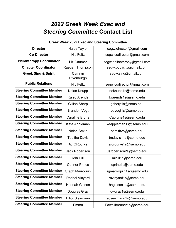# *2022 Greek Week Exec and Steering Committee* **Contact List**

| <b>Greek Week 2022 Exec and Steering Committee</b> |                        |                             |  |  |  |
|----------------------------------------------------|------------------------|-----------------------------|--|--|--|
| <b>Director</b>                                    | <b>Haley Taylor</b>    | segw.director@gmail.com     |  |  |  |
| <b>Co-Director</b>                                 | <b>Nic Feltz</b>       | segw.codirector@gmail.com   |  |  |  |
| <b>Philanthropy Coordinator</b>                    | Liz Gaumer             | segw.philanthropy@gmail.com |  |  |  |
| <b>Chapter Coordinator</b>                         | Raegan Thompson        | segw.publicity@gmail.com    |  |  |  |
| <b>Greek Sing &amp; Spirit</b>                     | Camryn<br>Rivenburgh   | segw.sing@gmail.com         |  |  |  |
| <b>Public Relations</b>                            | <b>Nic Feltz</b>       | segw.codirector@gmail.com   |  |  |  |
| <b>Steering Committee Member</b>                   | Nolan Knupp            | neknupp1s@semo.edu          |  |  |  |
| <b>Steering Committee Member</b>                   | <b>Kaleb Arends</b>    | krarends1s@semo.edu         |  |  |  |
| <b>Steering Committee Member</b>                   | <b>Gillian Sherp</b>   | gsherp1s@semo.edu           |  |  |  |
| <b>Steering Committee Member</b>                   | <b>Brandon Vogt</b>    | bdvogt1s@semo.edu           |  |  |  |
| <b>Steering Committee Member</b>                   | <b>Caraline Brune</b>  | Cabrune1s@semo.edu          |  |  |  |
| <b>Steering Committee Member</b>                   | Kate Appleman          | keappleman1s@semo.edu       |  |  |  |
| <b>Steering Committee Member</b>                   | <b>Nolan Smith</b>     | nsmith2s@semo.edu           |  |  |  |
| <b>Steering Committee Member</b>                   | <b>Tabitha Davis</b>   | tmdavis11s@semo.edu         |  |  |  |
| <b>Steering Committee Member</b>                   | AJ ORourke             | ajorourke1s@semo.edu        |  |  |  |
| <b>Steering Committee Member</b>                   | <b>Jack Robertson</b>  | Jsrobertson2s@semo.edu      |  |  |  |
| <b>Steering Committee Member</b>                   | Mia Hill               | mihill1s@semo.edu           |  |  |  |
| <b>Steering Committee Member</b>                   | <b>Connor Prince</b>   | cprine1s@semo.edu           |  |  |  |
| <b>Steering Committee Member</b>                   | Steph Marroquin        | sgmarroquin1s@semo.edu      |  |  |  |
| <b>Steering Committee Member</b>                   | <b>Rachel Vinyard</b>  | rnvinyard1s@semo.edu        |  |  |  |
| <b>Steering Committee Member</b>                   | Hannah Gibson          | hngibson1s@semo.edu         |  |  |  |
| <b>Steering Committee Member</b>                   | Douglas Gray           | dwgray1s@semo.edu           |  |  |  |
| <b>Steering Committee Member</b>                   | <b>Elliot Siekmann</b> | ecsiekmann1s@semo.edu       |  |  |  |
| <b>Steering Committee Member</b>                   | Emma                   | Eaweilbrenner1s@semo.edu    |  |  |  |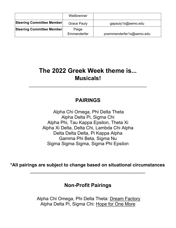|                           | Weilbrenner          |                          |
|---------------------------|----------------------|--------------------------|
| Steering Committee Member | <b>Grace Pauly</b>   | gapauly1s@semo.edu       |
| Steering Committee Member | Paige<br>Emmenderfer | pcemmenderfer1s@semo.edu |

# **The 2022 Greek Week theme is... Musicals!**

*\_\_\_\_\_\_\_\_\_\_\_\_\_\_\_\_\_\_\_\_\_\_\_\_\_\_\_\_\_\_\_\_\_\_\_\_\_\_\_\_\_* 

## **PAIRINGS**

 Alpha Chi Omega, Phi Delta Theta Alpha Delta Pi, Sigma Chi Alpha Phi, Tau Kappa Epsilon, Theta Xi Alpha Xi Delta, Delta Chi, Lambda Chi Alpha Delta Delta Delta, Pi Kappa Alpha Gamma Phi Beta, Sigma Nu Sigma Sigma Sigma, Sigma Phi Epsilon

**\*All pairings are subject to change based on situational circumstances** 

*\_\_\_\_\_\_\_\_\_\_\_\_\_\_\_\_\_\_\_\_\_\_\_\_\_\_\_\_\_\_\_\_\_\_\_\_\_\_\_\_* 

### **Non-Profit Pairings**

Alpha Chi Omega, Phi Delta Theta: Dream Factory Alpha Delta Pi, Sigma Chi: Hope for One More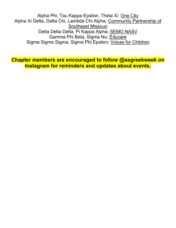Alpha Phi, Tau Kappa Epsilon, Theta Xi: <u>One City</u> Alpha Xi Delta, Delta Chi, Lambda Chi Alpha: Community Partnership of Delta Delta Delta, Pi Kappa Alpha: SEMO NASV Gamma Phi Beta, Sigma Nu: Educare Sigma Sigma Sigma, Sigma Phi Epsilon: Voices for Children Southeast Missouri

 **Chapter members are encouraged to follow @segreekweek on Instagram for reminders and updates about events.**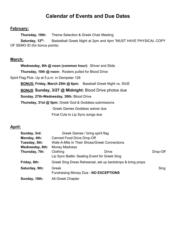### **Calendar of Events and Due Dates**

#### **February:**

Thursday, 10th: **Theme Selection & Greek Chair Meeting** 

Saturday, 12<sup>th</sup>: Basketball Greek Night at 2pm and 4pm \*MUST HAVE PHYSICAL COPY OF SEMO ID (for bonus points)

#### **March:**

 **Wednesday, 9th @ noon (common hour):** Shiver and Slide  **Thursday, 10th @ noon:** Rosters pulled for Blood Drive Spirit Flag Pick- Up at 5 p.m. in Dempster 128  **BONUS: Friday, March 25th @ 6pm:** Baseball Greek Night vs. SIUE  **BONUS**: **Sunday, 3/27 @ Midnight:** Blood Drive photos due **Sunday, 27th-Wednesday, 30th:** Blood Drive  **Thursday, 31st @ 5pm:** Greek God & Goddess submissions Final Cuts to Lip Sync songs due Greek Games Goddess waiver due

#### **April:**

| Sunday, 3rd:    |                                   | Greek Games / bring spirit flag                            |          |
|-----------------|-----------------------------------|------------------------------------------------------------|----------|
| Monday, 4th:    | <b>Canned Food Drive Drop-Off</b> |                                                            |          |
| Tuesday, 5th:   |                                   | Walk-A-Mile In Their Shoes/Greek Connections               |          |
| Wednesday, 6th: | <b>Money Madness</b>              |                                                            |          |
| Thursday, 7th:  | Clothing                          | <b>Drive</b>                                               | Drop-Off |
|                 |                                   | Lip Sync Battle: Seating Event for Greek Sing              |          |
| Friday, 8th:    |                                   | Greek Sing Dress Rehearsal, set up backdrops & bring props |          |
| Saturday, 9th:  | Greek                             |                                                            | Sing     |
|                 |                                   | Fundraising Money Due - NO EXCEPTIONS                      |          |
| Sunday, 10th:   | <b>All-Greek Chapter</b>          |                                                            |          |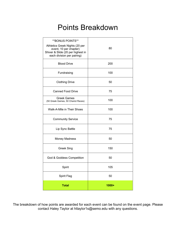# Points Breakdown

| **BONUS POINTS**<br>Athletics Greek Nights (20 per<br>event, 10 per chapter)<br>Shiver & Slide (20 per highest in<br>each division per pairing) | 80      |
|-------------------------------------------------------------------------------------------------------------------------------------------------|---------|
| <b>Blood Drive</b>                                                                                                                              | 200     |
| Fundraising                                                                                                                                     | 100     |
| <b>Clothing Drive</b>                                                                                                                           | 50      |
| <b>Canned Food Drive</b>                                                                                                                        | 75      |
| <b>Greek Games</b><br>(50 Greek Games, 50 Chariot Races)                                                                                        | 100     |
| Walk-A-Mile in Their Shoes                                                                                                                      | 100     |
| <b>Community Service</b>                                                                                                                        | 75      |
| Lip Sync Battle                                                                                                                                 | 75      |
| <b>Money Madness</b>                                                                                                                            | 50      |
| <b>Greek Sing</b>                                                                                                                               | 150     |
| God & Goddess Competition                                                                                                                       | 50      |
| Spirit                                                                                                                                          | 105     |
| Spirit Flag                                                                                                                                     | 50      |
| <b>Total</b>                                                                                                                                    | $1000+$ |

I The breakdown of how points are awarded for each event can be found on the event page. Please contact Haley Taylor at [hltaylor1s@semo.edu](mailto:hltaylor1s@semo.edu) with any questions.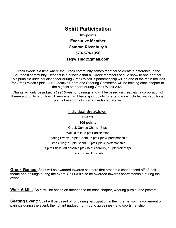### **105 points Spirit Participation Executive Member Camryn Rivenburgh 573-579-1956 [segw.sing@gmail.com](mailto:segw.sing@gmail.com)**

 Greek Week is a time where the Greek community comes together to create a difference in the Southeast community. Respect is a principle that all Greek members should show to one another. This principle *does not* disappear during Greek Week. Sportsmanship will be one of the main focuses for Greek Week Spirit. Our Executive Board and Steering Committee will be holding each chapter to the highest standard during Greek Week 2022.

 Chants will only be judged *at set times* for pairings and will be based on creativity, incorporation of theme and unity of uniform. Every event will have spirit points for attendance included with additional points based off of criteria mentioned above.

#### Individual Breakdown:

**Events** 

#### **105 points**

 Greek Games Chant: 15 pts Walk a Mile: 5 pts Participation Seating Event: 15 pts Chant | 5 pts Spirit/Sportsmanship Greek Sing: 15 pts Chant | 5 pts Spirit/Sportsmanship Spirit Sticks: 30 possible pts (15 pts sorority, 15 pts fraternity) Blood Drive: 15 points

 **Greek Games:** Spirit will be awarded towards chapters that present a chant based off of their theme and pairings during the event. Spirit will also be awarded towards sportsmanship during the event.

Walk A Mile: Spirit will be based on attendance for each chapter, wearing purple, and posters.

**Seating Event:** Spirit will be based off of pairing participation in their theme, spirit involvement of pairings during the event, their chant (judged from rubric guidelines), and sportsmanship.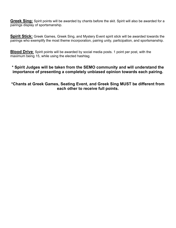**Greek Sing:** Spirit points will be awarded by chants before the skit. Spirit will also be awarded for a pairings display of sportsmanship.

 **Spirit Stick:** Greek Games, Greek Sing, and Mystery Event spirit stick will be awarded towards the pairings who exemplify the most theme incorporation, pairing unity, participation, and sportsmanship.

**Blood Drive**: Spirit points will be awarded by social media posts. 1 point per post, with the maximum being 15, while using the elected hashtag.

#### **\* Spirit Judges will be taken from the SEMO community and will understand the importance of presenting a completely unbiased opinion towards each pairing.**

#### **\*Chants at Greek Games, Seating Event, and Greek Sing MUST be different from each other to receive full points.**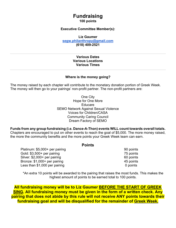## **Fundraising**

 **100 points** 

#### **Executive Committee Member(s):**

**Liz Gaumer** 

**[segw.philanthropy@gmail.com](mailto:segw.philanthropy@gmail.com)**

**(618) 409-2521** 

#### **Various Dates Various Locations Various Times**

#### **Where is the money going?**

 The money raised by each chapter will contribute to the monetary donation portion of Greek Week. The money will then go to your pairings' non-profit partner. The non-profit partners are:

> Hope for One More SEMO Network Against Sexual Violence Community Caring Council One City **Educare** Voices for Children/CASA Dream Factory of SEMO

 **Funds from any group fundraising (i.e. Dance-A-Thon) events WILL count towards overall totals.**  Chapters are encouraged to put on other events to reach the goal of \$5,000. The more money raised, the more the community benefits and the more points your Greek Week team can earn.

#### **Points**

Platinum: \$5,000+ per pairing 90 points Gold: \$3,500+ per pairing 75 points Silver: \$2,000+ per pairing 60 points Bronze: \$1,000+ per pairing and the set of the set of the 45 points Less than \$1,000 per pairing and the control of the control of points of points

 \*An extra 10 points will be awarded to the pairing that raises the most funds. This makes the highest amount of points to be earned total to 100 points.

 **All fundraising money will be to Liz Gaumer BEFORE THE START OF GREEK SING. All fundraising money must be given in the form of a written check. Any pairing that does not abide by this rule will not receive ANY points towards their fundraising goal and will be disqualified for the remainder of Greek Week.**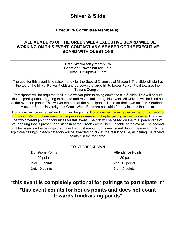### **Shiver & Slide**

#### **Executive Committee Member(s):**

#### **WORKING ON THIS EVENT. CONTACT ANY MEMBER OF THE EXECUTIVE ALL MEMBERS OF THE GREEK WEEK EXECUTIVE BOARD WILL BE BOARD WITH QUESTIONS**

#### **Date: Wednesday March 9th Location: Lower Parker Field Time: 12:00pm-1:30pm**

 The goal for this event is to raise money for the Special Olympics of Missouri. The slide will start at the top of the hill (at Parker Field) and go down the large hill to Lower Parker Field towards the **Towers Complex.** 

Towers Complex.<br>Participants will be required to fill out a waiver prior to going down the slip & slide. This will ensure that all participants are going to be safe and respectful during this event. All waivers will be filled out at the event on paper. This waiver states that the participant is liable for their own actions. Southeast Missouri State University and Greek Week Exec are not liable for any injuries that occur.

Donations will be accepted and counted for points. <mark>Donations will be accepted in the form of venmo</mark> or cash. If Venmo, there must be the person's name and chapter pairing in the message. There will be two different point opportunities for this event. The first will be based on the total percentage of your pairing that is present and signs in at the Greek Week Check-In table at the event. The second will be based on the pairings that have the most amount of money raised during the event. Only the top three pairings in each category will be awarded points. In the result of a tie, all pairing will receive points if in the top three.

#### POINT BREAKDOWN

**Donations Points** 1st: 20 points 2nd: 15 points 3rd: 10 points 3rd: 10 points

**Attendance Points** 1st: 20 points 2nd: 15 points

### **\*this event is completely optional for pairings to participate in\* \*this event counts for bonus points and does not count towards fundraising points\***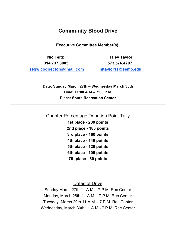**Community Blood Drive** 

**Executive Committee Member(s):** 

**Nic Feltz Haley Taylor 314.737.3005 573.576.4707 segw.codirector@gmail.com hltaylor1s@semo.edu** 

 **Date: Sunday March 27th – Wednesday March 30th Time: 11:00 A.M – 7:00 P.M. Place: South Recreation Center** 

**Chapter Percentage Donation Point Tally** 

 **1st place - 200 points 2nd place - 180 points 3rd place - 160 points 4th place - 140 points 5th place - 120 points 6th place - 100 points 7th place - 80 points** 

Dates of Drive

 Sunday March 27th 11 A.M. - 7 P.M. Rec Center Monday, March 28th 11 A.M. - 7 P.M. Rec Center Tuesday, March 29th 11 A.M. - 7 P.M. Rec Center Wednesday, March 30th 11 A.M - 7 P.M. Rec Center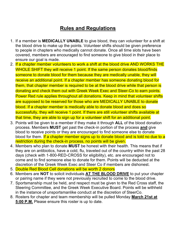## **Rules and Regulations**

- 1. If a member is **MEDICALLY UNABLE** to give blood, they can volunteer for a shift at to people in chapters who medically cannot donate. Once all time slots have been ensure our goal is made. the blood drive to make up the points. Volunteer shifts should be given preference covered, members are encouraged to find someone to give blood in their place to
- WHOLE SHIFT they will receive 1 point. If the same person donates blood/finds someone to donate blood for them because they are medically unable, they will receive an additional point. If a chapter member has someone donating blood for donating and check them out with Greek Week Exec and Steer-Co to earn points. Power Red rule applies throughout all donations. Keep in mind that volunteer shifts are supposed to be reserved for those who are MEDICALLY UNABLE to donate blood. If a chapter member is medically able to donate blood and does so successfully, they will receive 1 point. If there are still volunteer shifts available at 2. If a chapter member volunteers to work a shift at the blood drive AND WORKS THE them, that chapter member is required to be at the blood drive while that person is that time, they are able to sign up for a volunteer shift for an additional point.
- 3. Points will be given to a member if they make it through **ALL** of the blood donation process. Members **MUST** get past the check-in portion of the process **and** give blood for them. <mark>If a chapter member signs up to donate blood and is told no due to a</mark> restriction during the check-in process, no points will be given. blood to receive points or they are encouraged to find someone else to donate
- 4. Members who plan to donate **MUST** be honest with their health. This means that if days (check with 1-800-RED-CROSS for eligibility), etc. are encouraged not to come and to find someone else to donate for them. Points will be deducted at the discretion of the Greek Week Exec and Steer Co if members are dishonest. they are on antibiotics, have a cold, flu, traveled out of the country within the past 28
- 5. Double Red Blood Cell donations will be worth 2 donors
- 6. Members are **NOT** to solicit individuals **AT THE BLOOD DRIVE** to put your chapter or pairing name if they were not previously recruited to come to the blood drive.
- 7. Sportsmanship must be held, and respect must be given to the Red Cross staff, the Steering Committee, and the Greek Week Executive Board. Points will be withheld in the instance of unsportsmanlike conduct at the discretion of SteerCo.
- 8. Rosters for chapter and team membership will be pulled Monday **March 21st at 5:00 P.M.** Please ensure this roster is up to date.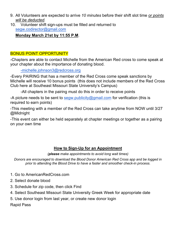- 9. All Volunteers are expected to arrive *10 minutes* before their shift slot time *or points will be deducted.*
- 10. Volunteer shift sign-ups must be filled and returned to [segw.codirector@gmail.com](mailto:segw.codirector@gmail.com)

### **Monday March 21st by 11:55 P.M**.

### BONUS POINT OPPORTUNITY

 -Chapters are able to contact Michelle from the American Red cross to come speak at your chapter about the importance of donating blood.

### -[michelle.johnson3@redcross.org](mailto:michelle.johnson3@redcross.org)

 -Every PAIRING that has a member of the Red Cross come speak sanctions by Michelle will receive 10 bonus points (this does not include members of the Red Cross Club here at Southeast Missouri State University's Campus)

-All chapters in the pairing must do this in order to receive points

-A picture needs to be sent to [segw.publicity@gmail.com](mailto:segw.publicity@gmail.com) for verification (this is required to earn points)

 -This meeting with a member of the Red Cross can take anytime from NOW until 3/27 @Midnight

 -This event can either be held separately at chapter meetings or together as a pairing on your own time

### **How to Sign-Up for an Appointment**

 *(please make appointments to avoid long wait times)* 

 *Donors are encouraged to download the Blood Donor American Red Cross app and be logged in prior to attending the Blood Drive to have a faster and smoother check-in process.* 

- 1. Go to [AmericanRedCross.com](https://AmericanRedCross.com)
- 2. Select donate blood
- 3. Schedule for zip code, then click Find
- 4. Select Southeast Missouri State University Greek Week for appropriate date
- 5. Use donor login from last year, or create new donor login

Rapid Pass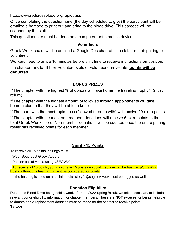<http://www.redcrossblood.org/rapidpass>

 emailed a barcode to print out and bring to the blood drive. This barcode will be Once completing the questionnaire (the day scheduled to give) the participant will be scanned by the staff.

This questionnaire must be done on a computer, not a mobile device.

### **Volunteers**

 Greek Week chairs will be emailed a Google Doc chart of time slots for their pairing to volunteer.

Workers need to arrive 10 minutes before shift time to receive instructions on position.

If a chapter fails to fill their volunteer slots or volunteers arrive late, **points will be deducted.** 

### **BONUS PRIZES**

\*\*The chapter with the highest % of donors will take home the traveling trophy\*\* (must return)

\*\*The chapter with the highest amount of followed through appointments will take home a plaque that they will be able to keep

\*\*The team with the most rapid pass (followed through with) will receive 20 extra points

\*\*The chapter with the most non-member donations will receive 5 extra points to their total Greek Week score. Non-member donations will be counted once the entire pairing roster has received points for each member.

### **Spirit - 15 Points**

To receive all 15 points, pairings must…

- · Wear Southeast Greek Apparel
- · Post on social media using #SEGW22

 · To receive all 15 points, you must have 15 posts on social media using the hashtag #SEGW22. Posts without this hashtag will not be considered for points

· If the hashtag is used on a social media "story", @segreekweek must be tagged as well.

### **Donation Eligibility**

 Due to the Blood Drive being held a week after the 2022 Spring Break, we felt it necessary to include relevant donor eligibility information for chapter members. These are **NOT** excuses for being ineligible to donate and a replacement donation must be made for the chapter to receive points.

**Tattoos**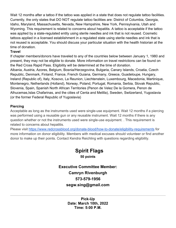Wait 12 months after a tattoo if the tattoo was applied in a state that does not regulate tattoo facilities. Currently, the only states that DO NOT regulate tattoo facilities are: District of Columbia, Georgia, Idaho, Maryland, Massachusetts, Nevada, New Hampshire, New York, Pennsylvania, Utah and Wyoming. This requirement is related to concerns about hepatitis. A tattoo is acceptable if the tattoo was applied by a state-regulated entity using sterile needles and ink that is not reused. Cosmetic tattoos applied in a licensed establishment in a regulated state using sterile needles and ink that is not reused is acceptable. You should discuss your particular situation with the health historian at the time of donation.

#### **Travel**

 If chapter members/donors have traveled to any of the countries below between January 1, 1980 and present, they may not be eligible to donate. More information on travel restrictions can be found on the Red Cross Rapid Pass. Eligibility will be determined at the time of donation. Albania, Austria, Azores, Belgium, Bosnia/Herzegovina, Bulgaria, Canary Islands, Croatia, Czech Republic, Denmark, Finland, France, French Guiana, Germany, Greece, Guadeloupe, Hungary, Ireland (Republic of), Italy, Kosovo, La Reunion, Liechtenstein, Luxembourg, Macedonia, Martinique, Montenegro, Netherlands (Holland), Norway, Poland, Portugal, Romania, Serbia, Slovak Republic, Slovenia, Spain, Spanish North African Territories (Penon de Velez De la Gomera, Penon de Alhucemas,Islas Chafarinas, and the cities of Centa and Melilla), Sweden, Switzerland, Yugoslavia (or the former Federal Republic of Yugoslavia)

#### **Piercing**

 Acceptable as long as the instruments used were single-use equipment. Wait 12 months if a piercing was performed using a reusable gun or any reusable instrument. Wait 12 months if there is any question whether or not the instruments used were single-use equipment. . This requirement is related to concerns about hepatitis.

Please visit <https://www.redcrossblood.org/donate-blood/how-to-donate/eligibility-requirements> for more information on donor eligibility. Members with medical excuses should volunteer or find another donor to make up their points. Contact Kendra Reichling with questions regarding eligibility.

> **50 points Spirit Flags Executive Committee Member: Camryn Rivenburgh 573-579-1956 [segw.sing@gmail.com](mailto:segw.sing@gmail.com)**

> > **Date: March 10th, 2022 Time: 5:00 P.M. Pick-Up**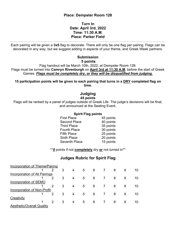#### **Place: Dempster Room 128**

#### **Date: April 3rd, 2022 Place: Parker Field Turn In Time: 11:30 A.M.**

 Each pairing will be given a **3x5** flag to decorate. There will only be one flag per pairing. Flags can be decorated in any way, but we suggest adding in aspects of your theme, and Greek Week partners.

#### **5 points Submission**

 Flag handout will be March 10th, 2022, at Dempster Room 128. Flags must be turned into **Camryn Rivenburgh** on **April 3rd at 11:30 A.M**. before the start of Greek Games. **Flags must be completely dry, or they will be disqualified from judging.** 

 **15 participation points will be given to each pairing that turns in a DRY completed flag on time.** 

#### **45 points Judging**

 Flags will be ranked by a panel of judges outside of Greek Life. The judge's decisions will be final, and announced at the Seating Event.

#### **Spirit Flag points**

| <b>First Place</b>   | 45 points |
|----------------------|-----------|
| <b>Second Place</b>  | 40 points |
| <b>Third Place</b>   | 35 points |
| <b>Fourth Place</b>  | 30 points |
| <b>Fifth Place</b>   | 25 points |
| <b>Sixth Place</b>   | 20 points |
| <b>Seventh Place</b> | 15 points |

\*\**0* points if not **completely** dry **or** not turned in\*\*

### **Judges Rubric for Spirit Flag**

| <b>Incorporation of Theme/Pairing</b> |               |   |                |                |   |   |   |    |
|---------------------------------------|---------------|---|----------------|----------------|---|---|---|----|
|                                       | າ             | 3 | $\overline{4}$ | 5              | 6 | 8 | 9 | 10 |
| <b>Incorporation of All Pairings</b>  |               |   |                |                |   |   |   |    |
|                                       |               | 3 | 4              | 5 <sup>5</sup> | 6 | 8 | 9 | 10 |
| Incorporation of SEMO                 |               |   |                |                |   |   |   |    |
|                                       | $\mathcal{P}$ | 3 | 4              | 5              | 6 | 8 | 9 | 10 |
| Incorporation of Non-Profit           |               |   |                |                |   |   |   |    |
|                                       |               | 3 | 4              | 5              | 6 | 8 | 9 | 10 |
| Creativity                            |               |   |                |                |   |   |   |    |
|                                       | $\mathcal{P}$ | 3 | 4              | 5              | 6 | 8 | 9 | 10 |
| <b>Aesthetic/Overall Quality</b>      |               |   |                |                |   |   |   |    |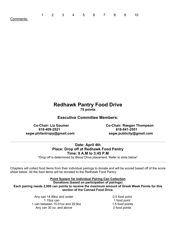| Comments: |  |
|-----------|--|

 $1 \quad$ 

### **Redhawk Pantry Food Drive 75 points**

1 2 3 4 5 6 7 8 9 10

**Executive Committee Members:** 

 **Co-Chair: Liz Gaumer 618-409-2521 segw.philantropy@gmail.com segw.publicity@gmail.com** 

**Co-Chair: Raegan Thompson 618-841-2551** 

#### **Date: April 4th Place: Drop off at Redhawk Food Pantry Time: 9 A.M to 3:45 P.M**

\*Drop off is determined by Blood Drive placement. Refer to slots below\*

 Chapters will collect food items from their individual pairings to donate and will be scored based off of the score sheet below. All the food items will be donated to the Redhawk Food Pantry.

#### **Point System for Individual Pairing Can Collection**

 **Each pairing needs 2,000 can points to receive the maximum amount of Greek Week Points for this section of the Canned Food Drive. Donations (based on participation of pairings)** 

> 1 can between 15.01oz and 29.9oz 1.5 food points Any can 14.99oz and under 0.5 food point 1 15oz can 1 food point Any can 30 oz. and above 2 food points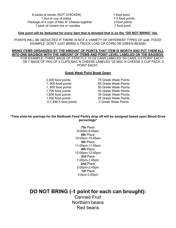6 packs of ramen (NOT CHICKEN) 1 food point 1 box or cup of pasta 1.5 food points Package of 4 cups of Mac N' Cheese together 2 food points 1 pack of instant rice or noodles 1 food point

#### **One point will be deducted for every item that is donated that is on the "DO NOT BRING" list.**

 POINTS WILL BE DEDUCTED IF THERE IS NOT A VARIETY OF DIFFERENT TYPES OF walk FOOD! EXAMPLE: DON'T JUST BRING A TRUCK LOAD OF CORN OR GREEN BEANS!

 FOR EXAMPLE: THREE BAGS OF STRICTLY 15 OZ CANS LABELED "50 CANS, 0.5 POINT EACH" OR 7 BAGS OF PKG OF 4 CUPS MAC N CHEESE LABELED "25 MAC N CHEESE 4 CUP PACK, 2 **BRING ITEMS ORGANIZED BY THE AMOUNT OF POINTS THAT ITEM IS WORTH AND PUT THEM ALL INTO ONE BAG/BOX WITH THE AMOUNT OF ITEMS AND POINT LEVEL LABELED ON THE BAG/BOX.** POINT EACH".

#### **Greek Week Point Break Down**

1,800 food points 1,700 food points

 1,500 food points 25 Greek Week Points 0-1,499.5 food points 0 Greek Week Points 2,000 food points 75 Greek Week Points 1, 900 food points 65 Greek Week Points 55 Greek Week Points 45 Greek Week Points 1,600 food points 35 Greek Week Points

#### **\*Time slots for pairings for the Redhawk Food Pantry drop off will be assigned based upon Blood Drive percentage\***

 **7th** Place 9:00am-9:45am **6th** Place 10:00am-10:45am **5th** Place 11:00am-11:45am **4th** Place 12:00pm-12:45pm **3rd** Place 1:00pm-1:45pm **2nd** Place 2:00pm-2:45pm **1st** Place 3:0pm-3:45pm

### **DO NOT BRING (-1 point for each can brought):**

 Canned Fruit Northern beans Red beans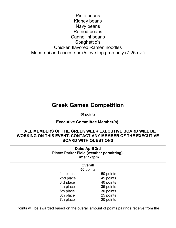Pinto beans Kidney beans Navy beans Refried beans Cannellini beans Chicken flavored Ramen noodles Macaroni and cheese box/stove top prep only (7.25 oz.) Spaghettio's

### **Greek Games Competition**

 **50 points** 

**Executive Committee Member(s):** 

#### **WORKING ON THIS EVENT. CONTACT ANY MEMBER OF THE EXECUTIVE ALL MEMBERS OF THE GREEK WEEK EXECUTIVE BOARD WILL BE BOARD WITH QUESTIONS**

 **Date: April 3rd Place: Parker Field (weather permitting). Time: 1-3pm** 

#### **Overall 50** points

1st place

 2nd place 45 points 3rd place and 40 points 4th place 35 points 5th place 30 points 6th place 25 points 7th place 20 points 50 points

Points will be awarded based on the overall amount of points pairings receive from the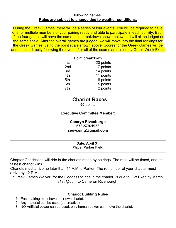#### **Rules are subject to change due to weather conditions.**  following games.

 During the Greek Games, there will be a series of four events. You will be required to have one, or multiple members of your pairing ready and able to participate in each activity. Each of the four games will have the same point breakdown shown below and will all be judged on announced directly following the event after all of the scores are tallied by Greek Week Exec. the same scale. After the overall games are judged, we will move into the final rankings for the Greek Games, using the point scale shown above. Scores for the Greek Games will be

|                 | Point breakdown |
|-----------------|-----------------|
| 1st             | 20 points       |
| 2 <sub>nd</sub> | 17 points       |
| 3rd             | 14 points       |
| 4th             | 11 points       |
| 5th             | 8 points        |
| 6th             | 5 points        |
| 7th             | 2 points        |

### **Chariot Races**

**50** points

#### **Executive Committee Member:**

#### **Camryn Rivenburgh 573-579-1956 [segw.sing@gmail.com](mailto:segw.sing@gmail.com)**

#### **Date: April 3rd Place: Parker Field**

 Chapter Goddesses will ride in the chariots made by pairings. The race will be timed, and the fastest chariot wins.

 Chariots must arrive no later than 11 A.M to Parker. The remainder of your chapter must arrive by 12 P.M.

 31st @5pm to Cameron Rivenburgh. \*Greek Games Waiver (for the Goddess to ride in the chariot) is due to GW Exec by March

#### **Chariot Building Rules**

- 1. Each pairing must have their own chariot.
- 2. Any material can be used (be creative).
- 3. NO Artificial power can be used, only human power can move the chariot.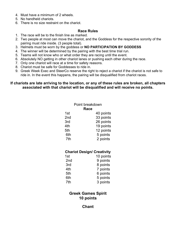- 4. Must have a minimum of 2 wheels.
- 5. No handheld chariots.
- 6. There is no size restraint on the chariot.

#### **Race Rules**

- 1. The race will be to the finish line as marked.
- 2. Two people at most can move the chariot, and the Goddess for the respective sorority of the pairing must ride inside. (3 people total).
- 3. Helmets must be worn by the goddess or **NO PARTICIPATION BY GODDESS**
- 4. The winner will be determined by the pairing with the best time trial run.
- 5. Teams will not know who or what order they are racing until the event.
- 6. Absolutely NO getting in other chariot lanes or pushing each other during the race.
- 7. Only one chariot will race at a time for safety reasons.
- 8. Chariot must be safe for Goddesses to ride in.
- 9. Greek Week Exec and SteerCo reserve the right to reject a chariot if the chariot is not safe to ride in. In the event this happens, the pairing will be disqualified from chariot races.

#### **associated with that chariot will be disqualified and will receive no points. If chariots are late arriving to the location, or any of these rules are broken, all chapters**

| Point breakdown<br>Race |  |  |  |
|-------------------------|--|--|--|
| 40 points               |  |  |  |
| 33 points               |  |  |  |
| 26 points               |  |  |  |
| 19 points               |  |  |  |
| 12 points               |  |  |  |
| 5 points                |  |  |  |
| 2 points                |  |  |  |
|                         |  |  |  |

#### **Chariot Design/ Creativity**

| 1st             | 10 points |
|-----------------|-----------|
| 2 <sub>nd</sub> | 9 points  |
| 3rd             | 8 points  |
| 4th             | 7 points  |
| 5th             | 6 points  |
| 6th             | 5 points  |
| 7th             | 3 points  |

#### **Greek Games Spirit 10 points**

#### **Chant**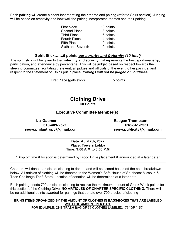Each **pairing** will create a chant incorporating their theme and pairing (refer to Spirit section). Judging will be based on creativity and how well the pairing incorporated themes and their pairing.

| 10 points |
|-----------|
| 8 points  |
| 6 points  |
| 4 points  |
| 2 points  |
| 0 points  |
|           |

#### **Spirit Stick…….5 points** *per sorority and fraternity (10 total)*

 The spirit stick will be given to the **fraternity and sorority** that represents the best sportsmanship, participation, and attendance by percentage. This will be judged based on respect towards the steering committee facilitating the event, all judges and officials of the event, other pairings, and respect to the Statement of Ethics put in place. *Pairings will not be judged on loudness.* 

First Place (gets stick) 5 points

#### **Clothing Drive 50 Points**

#### **Executive Committee Member(s):**

Liz Gaumer **Raegan Thompson [segw.philantropy@gmail.com](mailto:segw.philantropy@gmail.com) [segw.publicity@gmail.com](mailto:segw.publicity@gmail.com)** 

**618-409-2521 618-841-2551** 

#### **Date: April 7th, 2022 Place: Towers Lobby Time: 9:00 A.M to 3:00 P.M**

\*Drop off time & location is determined by Blood Drive placement & announced at a later date\*

 Chapters will donate articles of clothing to donate and will be scored based off the point breakdown below. All articles of clothing will be donated to the Women's Safe House of Southeast Missouri & Teen Challenge Thrift Store. Location of donation will be determined at a later date.

 Each pairing needs 700 articles of clothing to receive the maximum amount of Greek Week points for this section of the Clothing Drive. **NO ARTICLES OF CHAPTER SPECIFIC CLOTHING.** There will be no additional points awarded for pairings that donate over 700 articles of clothing

#### **WITH THE AMOUNT PER BAG.**  FOR EXAMPLE: ONE TRASH BAG OF 75 CLOTHES LABELED, "75" OR "150". **BRING ITEMS ORGANIZED BY THE AMOUNT OF CLOTHES IN BAGS/BOXES THAT ARE LABELED**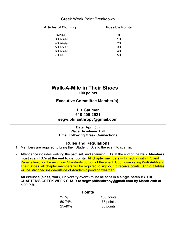#### Greek Week Point Breakdown

| Articles of Clothing | <b>Possible Points</b> |  |
|----------------------|------------------------|--|
| $0 - 299$            | 0                      |  |
| 300-399              | 10                     |  |
| 400-499              | 20                     |  |
| 500-599              | 30                     |  |
| 600-699              | 40                     |  |
| 700<                 | 50                     |  |

### **Walk-A-Mile in Their Shoes 100 points**

**Executive Committee Member(s):** 

#### **Liz Gaumer 618-409-2521 [segw.philanthropy@gmail.com](mailto:segw.philanthropy@gmail.com)**

 **Date: April 5th Place: Academic Hall Time: Following Greek Connections** 

#### **Rules and Regulations**

- 1. Members are required to bring their Student I.D.'s to the event to scan in.
- 2. Attendance includes walking the path set, and scanning I.D's at the end of the walk. **Members must scan I.D.'s at the end to get points.** All chapter members will check in with IFC and Panehellenic for the minimum Standards portion of the event. Upon completing Walk-A-Mile in Their Shoes, all chapter members will be required to sign-out to receive points. Sign out tables will be stationed inside/outside of Academic pending weather.
- 3. **All excuses (class, work, university event) must be sent in a single batch BY THE CHAPTER'S GREEK WEEK CHAIR to [segw.philanthropy@gmail.com](mailto:segw.philanthropy@gmail.com) by March 29th at 5:00 P.M.**

#### **Points**

| 75+%   | 100 points |
|--------|------------|
| 50-74% | 75 points  |
| 25-49% | 50 points  |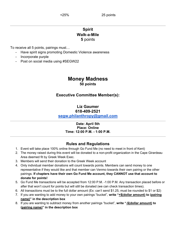### **5** points **Spirit Walk-a-Mile**

To receive all 5 points, pairings must…

- Have spirit signs promoting Domestic Violence awareness
- Incorporate purple
- Post on social media using #SEGW22

#### **Money Madness 50 points**

### **Executive Committee Member(s):**

#### **Liz Gaumer 618-409-2521**

**[segw.philanthropy@gmail.com](mailto:segw.philanthropy@gmail.com)** 

#### **Date: April 5th Time: 12:00 P.M. - 1:00 P.M. Place: Online**

### **Rules and Regulations**

- 1. Event will take place 100% online through Go Fund Me (no need to meet in front of Kent)
- 2. The money raised during this event will be donated to a non-profit organization in the Cape Girardeau Area deemed fit by Greek Week Exec.
- 3. Members will send their donation to the Greek Week account
- 4. Only individual member donations will count towards points. Members can send money to one  pairings. **If chapters have their own Go Fund Me account, they CANNOT use that account to donate for points!**  representative if they would like and that member can Venmo towards their own pairing or the other
- 5. Go Fund Me transactions will be accepted from 12:00 P.M. -1:00 P.M. Any transaction placed before or after that won't count for points but will still be donated (we can check transaction times).
- 6. All transactions must be to the full dollar amount (Ex: can't send \$1.25, must be rounded to \$1 or \$2)
- 7. If you are wanting to add money to your own pairings "bucket", **write "+\$(dollar amount) to (pairing name)" in the description box**
- 8. If you are wanting to subtract money from another pairings "bucket", **write "-\$(dollar amount) to (pairing name)" in the description box**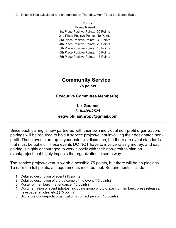9. Totals will be calculated and announced on Thursday, April 7th at the Dance Battle

#### **Points:**

 1st Place Positive Points: 50 Points 2nd Place Positive Points: 40 Points 3rd Place Positive Points: 30 Points 4th Place Positive Points: 20 Points 5th Place Positive Points: 15 Points 6th Place Positive Points: 10 Points 7th Place Positive Points: 15 Points Money Raised

### **Community Service 75 points**

### **Executive Committee Member(s):**

### **Liz Gaumer 618-409-2521 [segw.philanthropy@gmail.com](mailto:segw.philanthropy@gmail.com)**

 Since each pairing is now partnered with their own individual non-profit organization, profit. These events are up to your pairing's discretion, but there are event standards pairing is highly encouraged to work closely with their non-profit to plan an event/project that highly impacts the organization in some way. pairings will be required to hold a service project/event involving their designated nonthat must be upheld. These events DO NOT have to involve raising money, and each

 The service project/event is worth a possible 75 points, but there will be no placings. To earn the full points, all requirements must be met. Requirements include:

- 1. Detailed description of event (15 points)
- 2. Detailed description of the outcome of the event (15 points)
- 3. Roster of members in attendance (15 points)
- 4. Documentation of event (photos, including group photo of pairing members, press releases, newspaper articles, etc.) (15 points)
- 5. Signature of non-profit organization's contact person (15 points)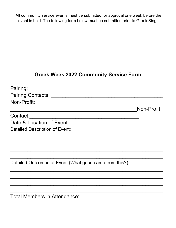All community service events must be submitted for approval one week before the event is held. The following form below must be submitted prior to Greek Sing.

### **Greek Week 2022 Community Service Form**

| Pairing:                                                |            |
|---------------------------------------------------------|------------|
| Pairing Contacts: National Pairing Contacts:            |            |
| Non-Profit:                                             |            |
|                                                         | Non-Profit |
| Contact:                                                |            |
| Date & Location of Event:                               |            |
| <b>Detailed Description of Event:</b>                   |            |
|                                                         |            |
|                                                         |            |
|                                                         |            |
|                                                         |            |
| Detailed Outcomes of Event (What good came from this?): |            |
|                                                         |            |
|                                                         |            |
|                                                         |            |
|                                                         |            |
| <b>Total Members in Attendance:</b>                     |            |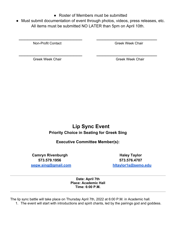- Roster of Members must be submitted
- ● Must submit documentation of event through photos, videos, press releases, etc. All items must be submitted NO LATER than 5pm on April 10th.

 $\overline{\phantom{a}}$  , and the contract of the contract of the contract of the contract of the contract of the contract of the contract of the contract of the contract of the contract of the contract of the contract of the contrac

 $\overline{\phantom{a}}$  , and the contract of the contract of the contract of the contract of the contract of the contract of the contract of the contract of the contract of the contract of the contract of the contract of the contrac

**Non-Profit Contact Creek Week Chair** Greek Week Chair

Greek Week Chair Greek Week Chair

### **Lip Sync Event Priority Choice in Seating for Greek Sing**

### **Executive Committee Member(s):**

**Camryn Rivenburgh Area and Area Camryn Rivenburgh Area Area Area Area Area Area Haley Taylor [segw.sing@gmail.com](mailto:segw.sing@gmail.com) [hltaylor1s@semo.edu](mailto:hltaylor1s@semo.edu)  573.579.1956 573.576.4707** 

 **Date: April 7th Place: Academic Hall Time: 6:00 P.M.** 

The lip sync battle will take place on Thursday April 7th, 2022 at 6:00 P.M. in Academic hall.

1. The event will start with introductions and spirit chants, led by the pairings god and goddess.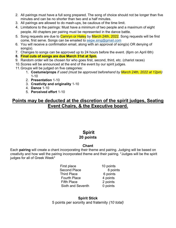- 2. All pairings must have a full song prepared. The song of choice should not be longer than five minutes and can be no shorter than two and a half minutes.
- 3. All pairings are allowed to do mash-ups, be cautious of the time limit.
- 4. Limitations to the pairings: Must have a minimum of two people and a maximum of eight people. All chapters per pairing must be represented in the dance battle.
- 5. Song requests are due to *Camryn or Haley* by March 24th, 2022. Song requests will be first come, first serve. Songs can be emailed to [segw.sing@gmail.com](mailto:segw.sing@gmail.com)
- 6. You will receive a confirmation email, along with an approval of song(s) OR denying of song(s).
- 7. Changes to songs can be approved up to 24 hours before the event. (6pm on April 6th)
- **8. Final cuts of songs are due March 31st at 5pm.**
- 9. Random order will be chosen for who goes first, second, third, etc. (chariot races)
- 10.Scores will be announced at the end of the event by our spirit judges.
- 11.Groups will be judged on five categories:
	- 1. **Costume/props** *if used (must be approved beforehand by March 24th, 2022 at 12pm)*  1-10
	- 2. **Presentation** 1-10
	- 3. **Creativity and originality** 1-10
	- 4. **Dance** 1-10
	- 5. **Perceived effort** 1-10

### **Points may be deducted at the discretion of the spirit judges, Seating Event Chairs, & the Executive board.**

### **Spirit 20 points**

#### **Chant**

 Each **pairing** will create a chant incorporating their theme and pairing. Judging will be based on creativity and how well the pairing incorporated theme and their pairing. \*Judges will be the spirit judges for all of Greek Week\*

- First place Fourth Place Fifth Place Sixth and Seventh Second Place Third Place
- 10 points 8 points 6 points 4 points 2 points 0 points

**Spirit Stick**  5 points per sorority and fraternity *(10 total)*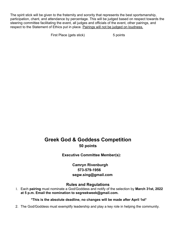The spirit stick will be given to the fraternity and sorority that represents the best sportsmanship, participation, chant, and attendance by percentage. This will be judged based on respect towards the steering committee facilitating the event, all judges and officials of the event, other pairings, and respect to the Statement of Ethics put in place. Pairings will not be judged on loudness.

First Place (gets stick) 5 points

### **Greek God & Goddess Competition 50 points**

**Executive Committee Member(s):** 

**Camryn Rivenburgh 573-579-1956 [segw.sing@gmail.com](mailto:segw.sing@gmail.com)** 

#### **Rules and Regulations**

 1. Each **pairing** must nominate a God/Goddess and notify of the selection by **March 31st, 2022 at 5 p.m. Email the nomination to [segreekweek@gmail.com](mailto:segreekweek@gmail.com).** 

#### **\*This is the absolute deadline, no changes will be made after April 1st\***

2. The God/Goddess must exemplify leadership and play a key role in helping the community.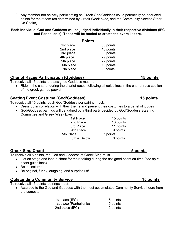3. Any member not actively participating as Greek God/Goddess could potentially be deducted points for their team (as determined by Greek Week exec, and the Community Service Steer Co Chairs)

#### **Each individual God and Goddess will be judged individually in their respective divisions (IFC and Panhellenic). These will be totaled to create the overall score.**

|           | <b>Points</b> |
|-----------|---------------|
| 1st place | 50 points     |
| 2nd place | 43 points     |
| 3rd place | 36 points     |
| 4th place | 29 points     |
| 5th place | 22 points     |
| 6th place | 15 points     |
| 7th place | 8 points      |
|           |               |

### **Chariot Races Participation (Goddess)** 15 points **15 points**

To receive all 15 points, the assigned Goddess must…

• Ride in the chariot during the chariot races, following all guidelines in the chariot race section of the greek games packet

### **Seating Event Costume (God/Goddess)** 15 points **15 points**

To receive all 15 points, each God/Goddess per pairing must….

- Dress up in correlation with their theme and present their costumes to a panel of judges
- God/Goddess pairings will be judged by a third party decided by God/Goddess Steering Committee and Greek Week Exec

1st Place 3rd Place 5th Place 7 points

2nd Place 13 points 4th Place 9 points 6th & Below 0 points 15 points 11 points

### **Greek Sing Chant** 5 **points**

To receive all 5 points, the God and Goddess at Greek Sing must…

- Get on stage and lead a chant for their pairing during the assigned chant off time (see spirit chant guidelines)
- Be in costume
- Be original, funny, outgoing, and surprise us!

### **<u>Outstanding Community Service</u>** 15 points **15 points**

To receive all 15 points, pairings must…

• Awarded to the God and Goddess with the most accumulated Community Service hours from the semester

| 15 points |
|-----------|
| 15 points |
| 12 points |
|           |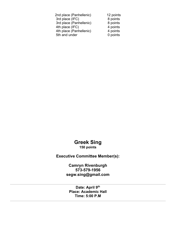| 12 points |
|-----------|
| 8 points  |
| 8 points  |
| 4 points  |
| 4 points  |
| 0 points  |
|           |

#### **Greek Sing 150 points**

### **Executive Committee Member(s):**

**Camryn Rivenburgh 573-579-1956 [segw.sing@gmail.com](mailto:segw.sing@gmail.com)** 

 **Date: April 9th Place: Academic Hall Time: 5:00 P.M**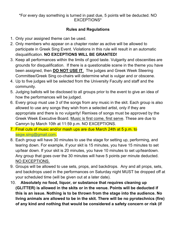#### \*For every day something is turned in past due, 5 points will be deducted. NO EXCEPTIONS\*

### **Rules and Regulations**

- 1. Only your assigned theme can be used.
- 2. Only members who appear on a chapter roster as active will be allowed to  disqualification. **NO EXCEPTIONS WILL BE GRANTED!**  participate in Greek Sing Event. Violations in this rule will result in an automatic
- 3. Keep all performances within the limits of good taste. Vulgarity and obscenities are grounds for disqualification. If there is a questionable scene in the theme you have  been assigned, then **DO NOT USE IT**. The judges and Greek Week Steering Committee/Greek Sing co-chairs will determine what is vulgar and or obscene.
- 4. Up to five judges will be selected from the University Faculty and staff and the community.
- 5. Judging ballots will be disclosed to all groups prior to the event to give an idea of how the performances will be judged.
- 6. Every group must use 3 of the songs from any music in the skit. Each group is also allowed to use any songs they wish from a selected artist, only if they are Greek Week Executive Board. Music is first come, first serve. These are due to Camryn by March 10th at 11:59 p.m. NO EXCEPTIONS. appropriate and there is no vulgarity! Remixes of songs must be approved by the
- 7. Final cuts of music and/or mash ups are due March 24th at 5 p.m. to [segw.sing@gmail.com](mailto:segw.sing@gmail.com).
- 8. Each group will have 30 minutes to use the stage for setting up, performing, and up/tear down. If your skit is 20 minutes, you have 10 minutes to set up/teardown. Any group that goes over the 30 minutes will have 5 points per minute deducted. tearing down. For example, if your skit is 15 minutes, you have 15 minutes to set NO EXCEPTIONS.
- 9. Groups will be allowed to use sets, props, and backdrops. Any and all props, sets, and backdrops used in the performances on Saturday night MUST be dropped off at your scheduled time (will be given out at a later date).
- 10. **Absolutely no food, liquor, or substance that requires cleaning up (GLITTER) is allowed in the skits or in the venue. Points will be deducted if this is an issue. Nothing is to be thrown from the stage into the audience. No living animals are allowed to be in the skit. There will be no pyrotechnics (fire) of any kind and nothing that would be considered a safety concern or risk (if**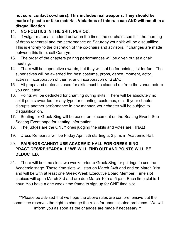**not sure, contact co-chairs). This includes real weapons. They should be made of plastic or fake material. Violations of this rule can AND will result in a disqualification.** 

### 11. **NO POLITICS IN THE SKIT. PERIOD.**

- of dress rehearsal and the performance on Saturday your skit will be disqualified. This is entirely to the discretion of the co-chairs and advisors. If changes are made between this time, call Camryn. 12. If vulgar material is added between the times the co-chairs see it in the morning
- 13. The order of the chapters pairing performances will be given out at a chair meeting.
- 14. There will be superlative awards, but they will not be for points, just for fun! The superlatives will be awarded for: best costume, props, dance, moment, actor, actress, incorporation of theme, and incorporation of SEMO.
- 15. All props and materials used for skits must be cleaned up from the venue before you can leave.
- 16. Points will be deducted for chanting during skits! There will be absolutely no spirit points awarded for any type for chanting, costumes, etc. If your chapter disrupts another performance in any manner, your chapter will be subject to disqualification.
- 17. Seating for Greek Sing will be based on placement on the Seating Event. See Seating Event page for seating information.
- 18. The judges are the ONLY ones judging the skits and votes are FINAL!
- 19. Dress Rehearsal will be Friday April 8th starting at 2 p.m. in Academic Hall.

### 20. **PAIRINGS CANNOT USE ACADEMIC HALL FOR GREEK SING PRACTICES/REHEARSAL!!! WE WILL FIND OUT AND POINTS WILL BE DEDUCTED.**

 21. There will be time slots two weeks prior to Greek Sing for pairings to use the Academic stage. These time slots will start on March 24th and end on March 31st and will be with at least one Greek Week Executive Board Member. Time slot choices will open March 3rd and are due March 10th at 5 p.m. Each time slot is 1 hour. You have a one week time frame to sign up for ONE time slot.

 \*\*Please be advised that we hope the above rules are comprehensive but the committee reserves the right to change the rules for unanticipated problems. We will inform you as soon as the changes are made if necessary.\*\*